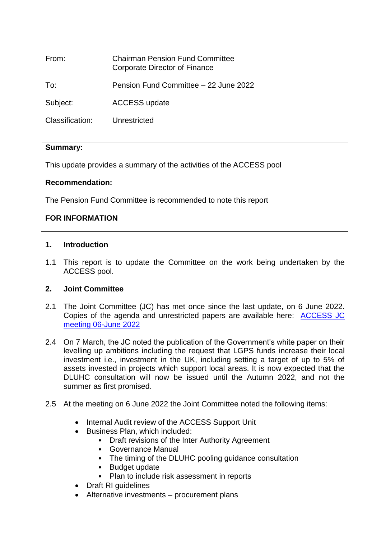| From:           | <b>Chairman Pension Fund Committee</b><br>Corporate Director of Finance |
|-----------------|-------------------------------------------------------------------------|
| To:             | Pension Fund Committee - 22 June 2022                                   |
| Subject:        | <b>ACCESS update</b>                                                    |
| Classification: | Unrestricted                                                            |
|                 |                                                                         |

## **Summary:**

This update provides a summary of the activities of the ACCESS pool

## **Recommendation:**

The Pension Fund Committee is recommended to note this report

# **FOR INFORMATION**

### **1. Introduction**

1.1 This report is to update the Committee on the work being undertaken by the ACCESS pool.

## **2. Joint Committee**

- 2.1 The Joint Committee (JC) has met once since the last update, on 6 June 2022. Copies of the agenda and unrestricted papers are available here: [ACCESS JC](http://kcc-app610:9070/ieListDocuments.aspx?CId=898&MId=9057&Ver=4)  [meeting 06-June 2022](http://kcc-app610:9070/ieListDocuments.aspx?CId=898&MId=9057&Ver=4)
- 2.4 On 7 March, the JC noted the publication of the Government's white paper on their levelling up ambitions including the request that LGPS funds increase their local investment i.e., investment in the UK, including setting a target of up to 5% of assets invested in projects which support local areas. It is now expected that the DLUHC consultation will now be issued until the Autumn 2022, and not the summer as first promised.
- 2.5 At the meeting on 6 June 2022 the Joint Committee noted the following items:
	- Internal Audit review of the ACCESS Support Unit
	- Business Plan, which included:
		- Draft revisions of the Inter Authority Agreement
		- Governance Manual
		- The timing of the DLUHC pooling guidance consultation
		- Budget update
		- Plan to include risk assessment in reports
	- Draft RI quidelines
	- Alternative investments procurement plans